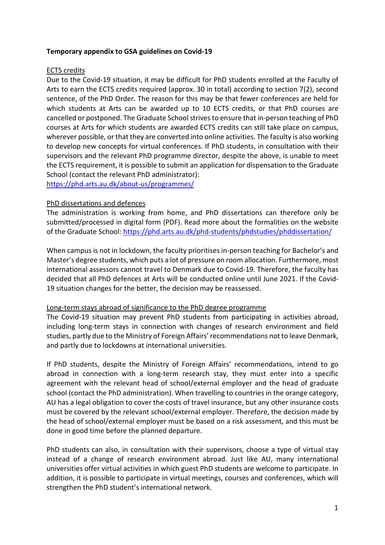## **Temporary appendix to GSA guidelines on Covid-19**

## ECTS credits

Due to the Covid-19 situation, it may be difficult for PhD students enrolled at the Faculty of Arts to earn the ECTS credits required (approx. 30 in total) according to section 7(2), second sentence, of the PhD Order. The reason for this may be that fewer conferences are held for which students at Arts can be awarded up to 10 ECTS credits, or that PhD courses are cancelled or postponed. The Graduate School strives to ensure that in-person teaching of PhD courses at Arts for which students are awarded ECTS credits can still take place on campus, wherever possible, or that they are converted into online activities. The faculty is also working to develop new concepts for virtual conferences. If PhD students, in consultation with their supervisors and the relevant PhD programme director, despite the above, is unable to meet the ECTS requirement, it is possible to submit an application for dispensation to the Graduate School (contact the relevant PhD administrator):

<https://phd.arts.au.dk/about-us/programmes/>

## PhD dissertations and defences

The administration is working from home, and PhD dissertations can therefore only be submitted/processed in digital form (PDF). Read more about the formalities on the website of the Graduate School:<https://phd.arts.au.dk/phd-students/phdstudies/phddissertation/>

When campus is not in lockdown, the faculty prioritises in-person teaching for Bachelor's and Master's degree students, which puts a lot of pressure on room allocation. Furthermore, most international assessors cannot travel to Denmark due to Covid-19. Therefore, the faculty has decided that all PhD defences at Arts will be conducted online until June 2021. If the Covid-19 situation changes for the better, the decision may be reassessed.

## Long-term stays abroad of significance to the PhD degree programme

The Covid-19 situation may prevent PhD students from participating in activities abroad, including long-term stays in connection with changes of research environment and field studies, partly due to the Ministry of Foreign Affairs' recommendations not to leave Denmark, and partly due to lockdowns at international universities.

If PhD students, despite the Ministry of Foreign Affairs' recommendations, intend to go abroad in connection with a long-term research stay, they must enter into a specific agreement with the relevant head of school/external employer and the head of graduate school (contact the PhD administration). When travelling to countries in the orange category, AU has a legal obligation to cover the costs of travel insurance, but any other insurance costs must be covered by the relevant school/external employer. Therefore, the decision made by the head of school/external employer must be based on a risk assessment, and this must be done in good time before the planned departure.

PhD students can also, in consultation with their supervisors, choose a type of virtual stay instead of a change of research environment abroad. Just like AU, many international universities offer virtual activities in which guest PhD students are welcome to participate. In addition, it is possible to participate in virtual meetings, courses and conferences, which will strengthen the PhD student's international network.